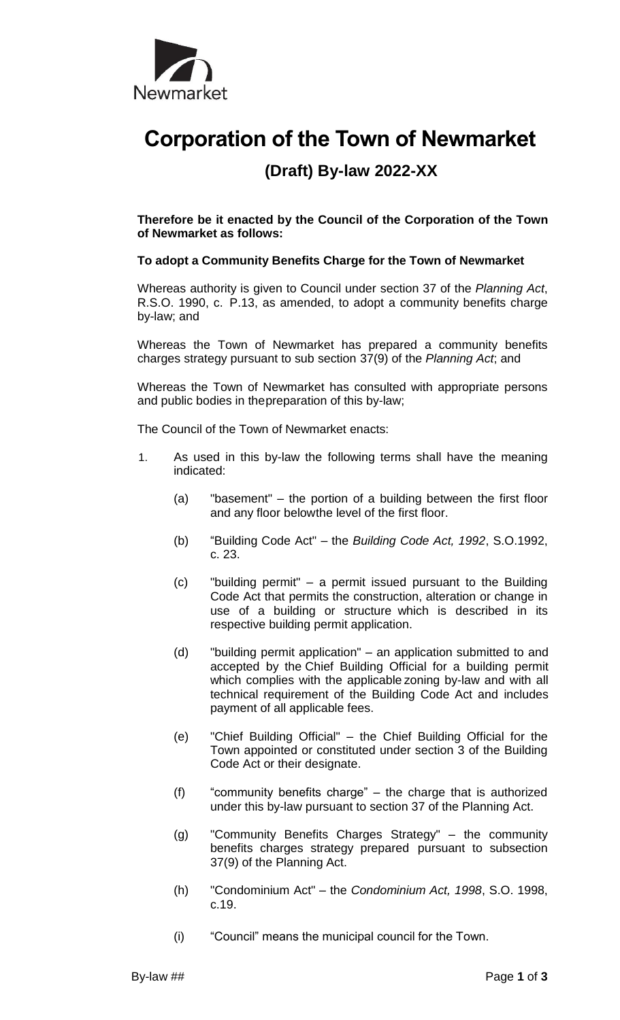

## **Corporation of the Town of Newmarket**

## **(Draft) By-law 2022-XX**

**Therefore be it enacted by the Council of the Corporation of the Town of Newmarket as follows:**

## **To adopt a Community Benefits Charge for the Town of Newmarket**

Whereas authority is given to Council under section 37 of the *Planning Act*, R.S.O. 1990, c. P.13, as amended, to adopt a community benefits charge by-law; and

Whereas the Town of Newmarket has prepared a community benefits charges strategy pursuant to sub section 37(9) of the *Planning Act*; and

Whereas the Town of Newmarket has consulted with appropriate persons and public bodies in thepreparation of this by-law;

The Council of the Town of Newmarket enacts:

- 1. As used in this by-law the following terms shall have the meaning indicated:
	- (a) "basement" the portion of a building between the first floor and any floor belowthe level of the first floor.
	- (b) "Building Code Act" the *Building Code Act, 1992*, S.O.1992, c. 23.
	- (c) "building permit" a permit issued pursuant to the Building Code Act that permits the construction, alteration or change in use of a building or structure which is described in its respective building permit application.
	- (d) "building permit application" an application submitted to and accepted by the Chief Building Official for a building permit which complies with the applicable zoning by-law and with all technical requirement of the Building Code Act and includes payment of all applicable fees.
	- (e) "Chief Building Official" the Chief Building Official for the Town appointed or constituted under section 3 of the Building Code Act or their designate.
	- (f) "community benefits charge" the charge that is authorized under this by-law pursuant to section 37 of the Planning Act.
	- (g) "Community Benefits Charges Strategy" the community benefits charges strategy prepared pursuant to subsection 37(9) of the Planning Act.
	- (h) "Condominium Act" the *Condominium Act, 1998*, S.O. 1998, c.19.
	- (i) "Council" means the municipal council for the Town.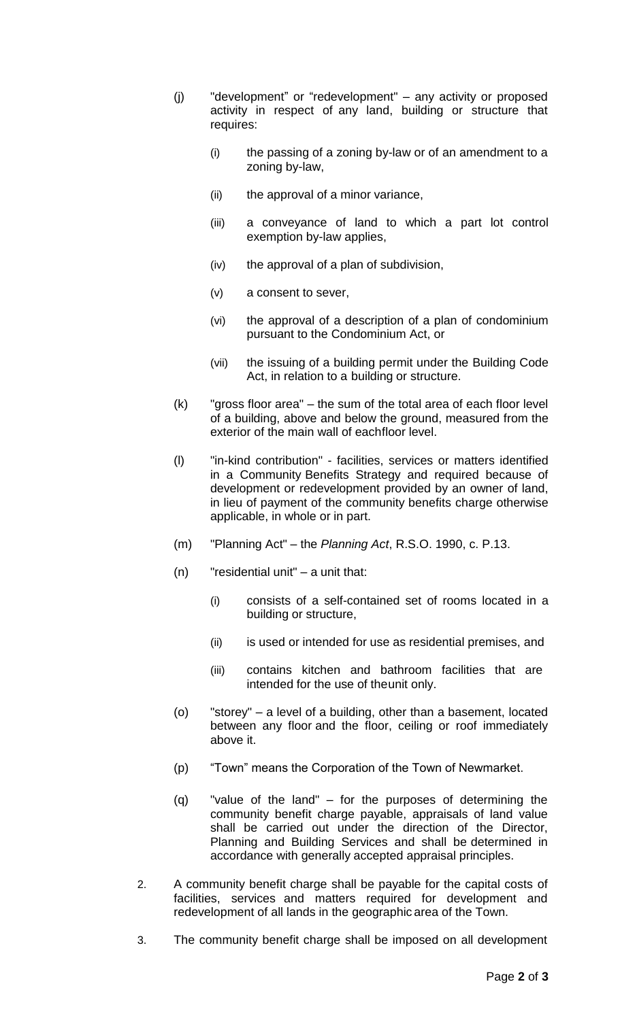- (j) "development" or "redevelopment" any activity or proposed activity in respect of any land, building or structure that requires:
	- (i) the passing of a zoning by-law or of an amendment to a zoning by-law,
	- (ii) the approval of a minor variance,
	- (iii) a conveyance of land to which a part lot control exemption by-law applies,
	- (iv) the approval of a plan of subdivision,
	- (v) a consent to sever,
	- (vi) the approval of a description of a plan of condominium pursuant to the Condominium Act, or
	- (vii) the issuing of a building permit under the Building Code Act, in relation to a building or structure.
- (k) "gross floor area" the sum of the total area of each floor level of a building, above and below the ground, measured from the exterior of the main wall of eachfloor level.
- (l) "in-kind contribution" facilities, services or matters identified in a Community Benefits Strategy and required because of development or redevelopment provided by an owner of land, in lieu of payment of the community benefits charge otherwise applicable, in whole or in part.
- (m) "Planning Act" the *Planning Act*, R.S.O. 1990, c. P.13.
- (n) "residential unit" a unit that:
	- (i) consists of a self-contained set of rooms located in a building or structure,
	- (ii) is used or intended for use as residential premises, and
	- (iii) contains kitchen and bathroom facilities that are intended for the use of theunit only.
- (o) "storey" a level of a building, other than a basement, located between any floor and the floor, ceiling or roof immediately above it.
- (p) "Town" means the Corporation of the Town of Newmarket.
- (q) "value of the land" for the purposes of determining the community benefit charge payable, appraisals of land value shall be carried out under the direction of the Director, Planning and Building Services and shall be determined in accordance with generally accepted appraisal principles.
- 2. A community benefit charge shall be payable for the capital costs of facilities, services and matters required for development and redevelopment of all lands in the geographic area of the Town.
- 3. The community benefit charge shall be imposed on all development